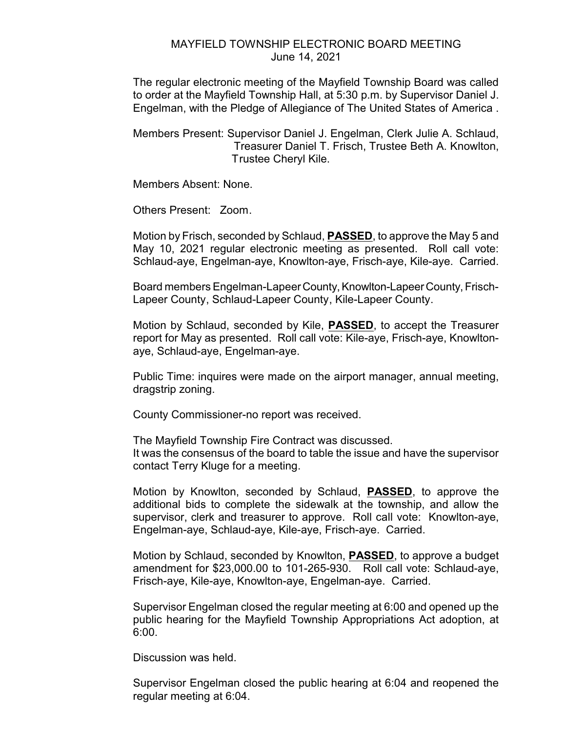## MAYFIELD TOWNSHIP ELECTRONIC BOARD MEETING June 14, 2021

The regular electronic meeting of the Mayfield Township Board was called to order at the Mayfield Township Hall, at 5:30 p.m. by Supervisor Daniel J. Engelman, with the Pledge of Allegiance of The United States of America .

Members Present: Supervisor Daniel J. Engelman, Clerk Julie A. Schlaud, Treasurer Daniel T. Frisch, Trustee Beth A. Knowlton, Trustee Cheryl Kile.

Members Absent: None.

Others Present: Zoom.

Motion by Frisch, seconded by Schlaud, **PASSED**, to approve the May 5 and May 10, 2021 regular electronic meeting as presented. Roll call vote: Schlaud-aye, Engelman-aye, Knowlton-aye, Frisch-aye, Kile-aye. Carried.

Board members Engelman-Lapeer County, Knowlton-Lapeer County, Frisch-Lapeer County, Schlaud-Lapeer County, Kile-Lapeer County.

Motion by Schlaud, seconded by Kile, **PASSED**, to accept the Treasurer report for May as presented. Roll call vote: Kile-aye, Frisch-aye, Knowltonaye, Schlaud-aye, Engelman-aye.

Public Time: inquires were made on the airport manager, annual meeting, dragstrip zoning.

County Commissioner-no report was received.

The Mayfield Township Fire Contract was discussed. It was the consensus of the board to table the issue and have the supervisor contact Terry Kluge for a meeting.

Motion by Knowlton, seconded by Schlaud, **PASSED**, to approve the additional bids to complete the sidewalk at the township, and allow the supervisor, clerk and treasurer to approve. Roll call vote: Knowlton-aye, Engelman-aye, Schlaud-aye, Kile-aye, Frisch-aye. Carried.

Motion by Schlaud, seconded by Knowlton, **PASSED**, to approve a budget amendment for \$23,000.00 to 101-265-930. Roll call vote: Schlaud-aye, Frisch-aye, Kile-aye, Knowlton-aye, Engelman-aye. Carried.

Supervisor Engelman closed the regular meeting at 6:00 and opened up the public hearing for the Mayfield Township Appropriations Act adoption, at 6:00.

Discussion was held.

Supervisor Engelman closed the public hearing at 6:04 and reopened the regular meeting at 6:04.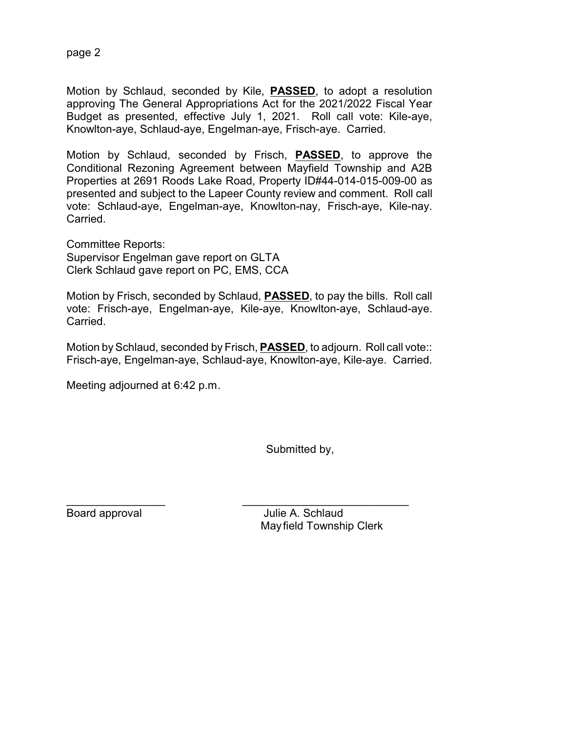page 2

Motion by Schlaud, seconded by Kile, **PASSED**, to adopt a resolution approving The General Appropriations Act for the 2021/2022 Fiscal Year Budget as presented, effective July 1, 2021. Roll call vote: Kile-aye, Knowlton-aye, Schlaud-aye, Engelman-aye, Frisch-aye. Carried.

Motion by Schlaud, seconded by Frisch, **PASSED**, to approve the Conditional Rezoning Agreement between Mayfield Township and A2B Properties at 2691 Roods Lake Road, Property ID#44-014-015-009-00 as presented and subject to the Lapeer County review and comment. Roll call vote: Schlaud-aye, Engelman-aye, Knowlton-nay, Frisch-aye, Kile-nay. Carried.

Committee Reports: Supervisor Engelman gave report on GLTA Clerk Schlaud gave report on PC, EMS, CCA

Motion by Frisch, seconded by Schlaud, **PASSED**, to pay the bills. Roll call vote: Frisch-aye, Engelman-aye, Kile-aye, Knowlton-aye, Schlaud-aye. Carried.

Motion by Schlaud, seconded by Frisch, **PASSED**, to adjourn. Roll call vote:: Frisch-aye, Engelman-aye, Schlaud-aye, Knowlton-aye, Kile-aye. Carried.

Meeting adjourned at 6:42 p.m.

Submitted by,

\_\_\_\_\_\_\_\_\_\_\_\_\_\_\_\_ \_\_\_\_\_\_\_\_\_\_\_\_\_\_\_\_\_\_\_\_\_\_\_\_\_\_\_

Board approval **Board approval** Julie A. Schlaud Mayfield Township Clerk